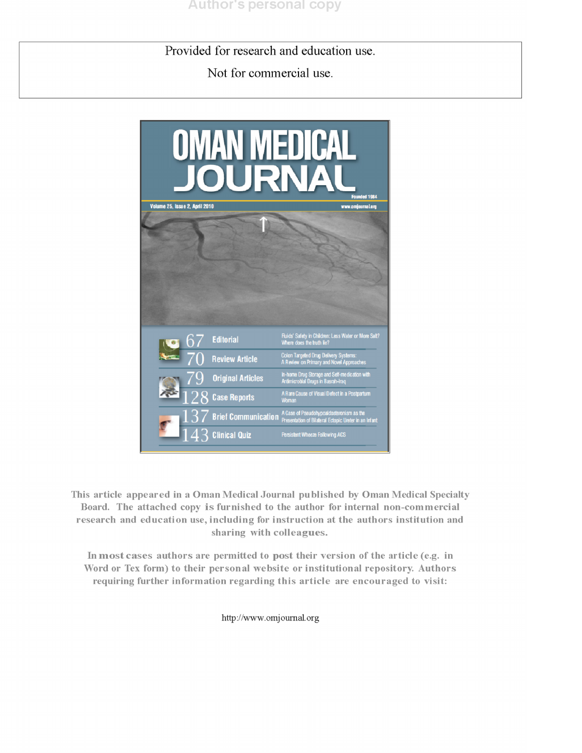Provided for research and education use.

Not for commercial use.



This article appeared in a Oman Medical Journal published by Oman Medical Specialty Board. The attached copy is furnished to the author for internal non-commercial research and education use, including for instruction at the authors institution and sharing with colleagues.

In most cases authors are permitted to post their version of the article (e.g. in Word or Tex form) to their personal website or institutional repository. Authors requiring further information regarding this article are encouraged to visit:

http://www.omjournal.org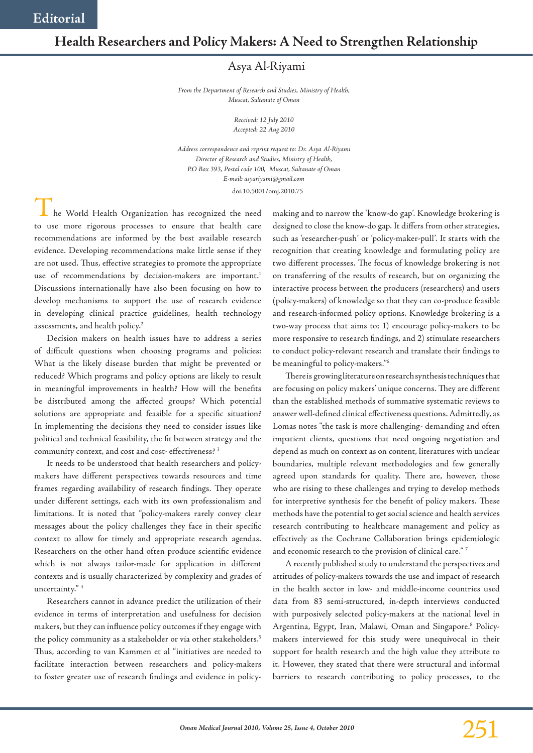## **Health Researchers and Policy Makers: A Need to Strengthen Relationship**

## Asya Al-Riyami

*From the Department of Research and Studies, Ministry of Health, Muscat, Sultanate of Oman*

> *Received: 12 July 2010 Accepted: 22 Aug 2010*

*Address correspondence and reprint request to: Dr. Asya Al-Riyami Director of Research and Studies, Ministry of Health, P.O Box 393, Postal code 100, Muscat, Sultanate of Oman E-mail: asyariyami@gmail.com* doi:10.5001/omj.2010.75

 $\blacksquare$  he World Health Organization has recognized the need to use more rigorous processes to ensure that health care recommendations are informed by the best available research evidence. Developing recommendations make little sense if they are not used. Thus, effective strategies to promote the appropriate use of recommendations by decision-makers are important.<sup>1</sup> Discussions internationally have also been focusing on how to develop mechanisms to support the use of research evidence in developing clinical practice guidelines, health technology assessments, and health policy.<sup>2</sup>

Decision makers on health issues have to address a series of difficult questions when choosing programs and policies: What is the likely disease burden that might be prevented or reduced? Which programs and policy options are likely to result in meaningful improvements in health? How will the benefits be distributed among the affected groups? Which potential solutions are appropriate and feasible for a specific situation? In implementing the decisions they need to consider issues like political and technical feasibility, the fit between strategy and the community context, and cost and cost- effectiveness?<sup>3</sup>

It needs to be understood that health researchers and policymakers have different perspectives towards resources and time frames regarding availability of research findings. They operate under different settings, each with its own professionalism and limitations. It is noted that "policy-makers rarely convey clear messages about the policy challenges they face in their specific context to allow for timely and appropriate research agendas. Researchers on the other hand often produce scientific evidence which is not always tailor-made for application in different contexts and is usually characterized by complexity and grades of uncertainty." 4

Researchers cannot in advance predict the utilization of their evidence in terms of interpretation and usefulness for decision makers, but they can influence policy outcomes if they engage with the policy community as a stakeholder or via other stakeholders.<sup>5</sup> Thus, according to van Kammen et al "initiatives are needed to facilitate interaction between researchers and policy-makers to foster greater use of research findings and evidence in policy-

making and to narrow the 'know-do gap'. Knowledge brokering is designed to close the know-do gap. It differs from other strategies, such as 'researcher-push' or 'policy-maker-pull'. It starts with the recognition that creating knowledge and formulating policy are two different processes. The focus of knowledge brokering is not on transferring of the results of research, but on organizing the interactive process between the producers (researchers) and users (policy-makers) of knowledge so that they can co-produce feasible and research-informed policy options. Knowledge brokering is a two-way process that aims to; 1) encourage policy-makers to be more responsive to research findings, and 2) stimulate researchers to conduct policy-relevant research and translate their findings to be meaningful to policy-makers."6

There is growing literature on research synthesis techniques that are focusing on policy makers' unique concerns. They are different than the established methods of summative systematic reviews to answer well-defined clinical effectiveness questions. Admittedly, as Lomas notes "the task is more challenging- demanding and often impatient clients, questions that need ongoing negotiation and depend as much on context as on content, literatures with unclear boundaries, multiple relevant methodologies and few generally agreed upon standards for quality. There are, however, those who are rising to these challenges and trying to develop methods for interpretive synthesis for the benefit of policy makers. These methods have the potential to get social science and health services research contributing to healthcare management and policy as effectively as the Cochrane Collaboration brings epidemiologic and economic research to the provision of clinical care." 7

A recently published study to understand the perspectives and attitudes of policy-makers towards the use and impact of research in the health sector in low- and middle-income countries used data from 83 semi-structured, in-depth interviews conducted with purposively selected policy-makers at the national level in Argentina, Egypt, Iran, Malawi, Oman and Singapore.<sup>8</sup> Policymakers interviewed for this study were unequivocal in their support for health research and the high value they attribute to it. However, they stated that there were structural and informal barriers to research contributing to policy processes, to the